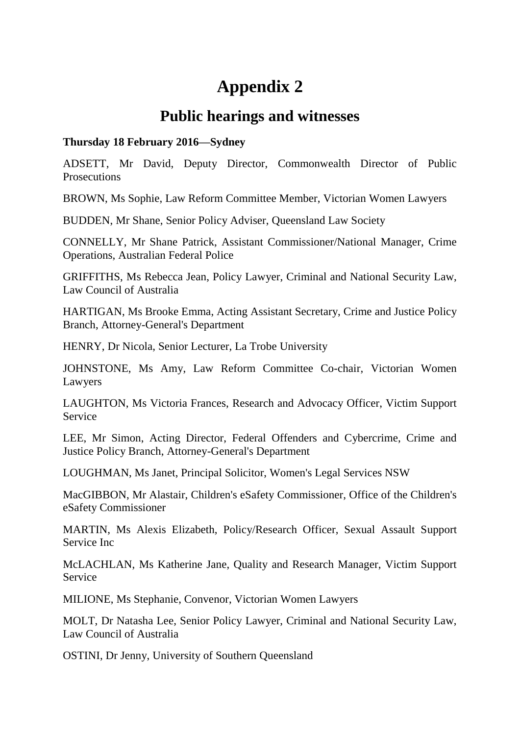## **Appendix 2**

## **Public hearings and witnesses**

## **Thursday 18 February 2016—Sydney**

ADSETT, Mr David, Deputy Director, Commonwealth Director of Public **Prosecutions** 

BROWN, Ms Sophie, Law Reform Committee Member, Victorian Women Lawyers

BUDDEN, Mr Shane, Senior Policy Adviser, Queensland Law Society

CONNELLY, Mr Shane Patrick, Assistant Commissioner/National Manager, Crime Operations, Australian Federal Police

GRIFFITHS, Ms Rebecca Jean, Policy Lawyer, Criminal and National Security Law, Law Council of Australia

HARTIGAN, Ms Brooke Emma, Acting Assistant Secretary, Crime and Justice Policy Branch, Attorney-General's Department

HENRY, Dr Nicola, Senior Lecturer, La Trobe University

JOHNSTONE, Ms Amy, Law Reform Committee Co-chair, Victorian Women Lawyers

LAUGHTON, Ms Victoria Frances, Research and Advocacy Officer, Victim Support Service

LEE, Mr Simon, Acting Director, Federal Offenders and Cybercrime, Crime and Justice Policy Branch, Attorney-General's Department

LOUGHMAN, Ms Janet, Principal Solicitor, Women's Legal Services NSW

MacGIBBON, Mr Alastair, Children's eSafety Commissioner, Office of the Children's eSafety Commissioner

MARTIN, Ms Alexis Elizabeth, Policy/Research Officer, Sexual Assault Support Service Inc

McLACHLAN, Ms Katherine Jane, Quality and Research Manager, Victim Support Service

MILIONE, Ms Stephanie, Convenor, Victorian Women Lawyers

MOLT, Dr Natasha Lee, Senior Policy Lawyer, Criminal and National Security Law, Law Council of Australia

OSTINI, Dr Jenny, University of Southern Queensland